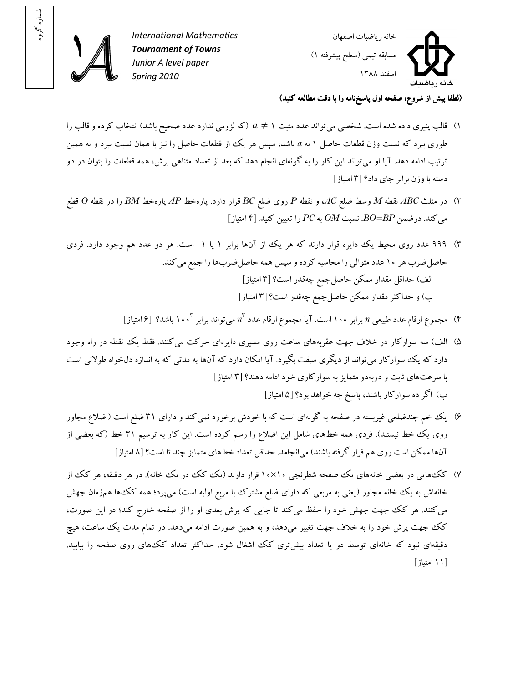

: شماره گروه



(لطفا پيش از شروع، صفحه اول پاسخ نامه را با دقت مطالعه کنيد)

- ۰۱) قالب پنيري داده شده است. شخصي مي تواند عدد مثبت ۱  $a\neq 0$  (كه لزومي ندارد عدد صحيح باشد) انتخاب كرده و قالب را طوری ببرد که نسبت وزن قطعات حاصل ۱ به <sub>a</sub> باشد، سپس هر یک از قطعات حاصل را نیز با همان نسبت ببرد و به همین ترتيب ادامه دهد. آيا او مي تواند اين کار را به گونهاي انجام دهد که بعد از تعداد متناهي برش، همه قطعات را بتوان در دو دسته با وزن برابر جاي داد؟ [۳ امتياز]
- )۲ در مثلث *ABC* نقطه *M* وسط ضلع *AC*، و نقطه *P* رو ي ضلع *BC* قرار دارد. پارهخط *AP* پارهخط *BM* را در نقطه *O* قطع  $[3]$ يه  $P$ C به  $P$ C را تعيين كنيد.  $[4]$  امتياز
- ۳) ۹۹۹ عدد روی محیط یک دایره قرار دارند که هر یک از آنها برابر ۱ یا ۱– است. هر دو عدد هم وجود دارد. فردی حاصل ضرب هر ۱۰ عدد متوالي را محاسبه کرده و سپس همه حاصل ضربها را جمع مي کند. الف) حداقل مقدار ممکن حاصلجمع چهقدر است؟ ۳[ امتياز ] ب) و حداکثر مقدار ممکن حاصل جمع چهقدر است؟ [۳ امتياز]
	- ۴) مجموع ارقام عدد طبيعي *n* برابر ۱۰۰ است. آيا مجموع ارقام عدد  $n^{\rm v}$  مي ${\rm i}$ واند برابر ۱۰۰<sup>۳ ت</sup>اشد؟ [۶ امتياز]
- ۵) الف) سه سوارکار در خلاف جهت عقربههاى ساعت روى مسيرى دايرهاى حرکت مى کنند. فقط يک نقطه در راه وجود دارد که يک سوارکار مي تواند از ديگري سبقت بگيرد. آيا امکان دارد که آنها به مدتي که به اندازه دلخواه طولاني است يها با سرعت ثابت و دوبهدو متمايز به سوارکار ي خود ادامه دهند؟ ۳[ امتياز] ب) اگر ده سوارکار باشند، پاسخ چه خواهد بود؟ ۵[ امتياز]
- ۶) يک خم چندضلعي غيربسته در صفحه به گونهاي است که با خودش برخورد نمي کند و داراي ۳۱ ضلع است (اضلاع مجاور روی يک خط نيستند). فردي همه خطهاي شامل اين اضلاع را رسم کرده است. اين کار به ترسيم ۳۱ خط (که بعضي از آنها ممکن است روي هم قرار گرفته باشند) مي|نجامد. حداقل تعداد خطهاي متمايز چند تا است؟ [٨ امتياز]
- ۷) کک هايي در بعضي خانههاي يک صفحه شطرنجي ۱۰×۱۰ قرار دارند (يک کک در يک خانه). در هر دقيقه، هر کک از خانهاش به يک خانه مجاور (يعني به مربعي که داراي ضلع مشترک با مربع اوليه است) مي $\mathfrak{g}_\mathfrak{c}$  همزمان جهش مي کنند. هر کک جهت جهش خود را حفظ مي کند تا جايي که پرش بعدي او را از صفحه خارج کند؛ در اين صورت، کک جهت پرش خود را به خلاف جهت تغيير ميدهد، و به همين صورت ادامه ميدهد. در تمام مدت يک ساعت، هيچ دقيقهاي نبود که خانهاي توسط دو يا تعداد بيشتري کک اشغال شود. حداکثر تعداد کک،هاي روي صفحه را بيابيد. [ ۱۱ امتياز ]